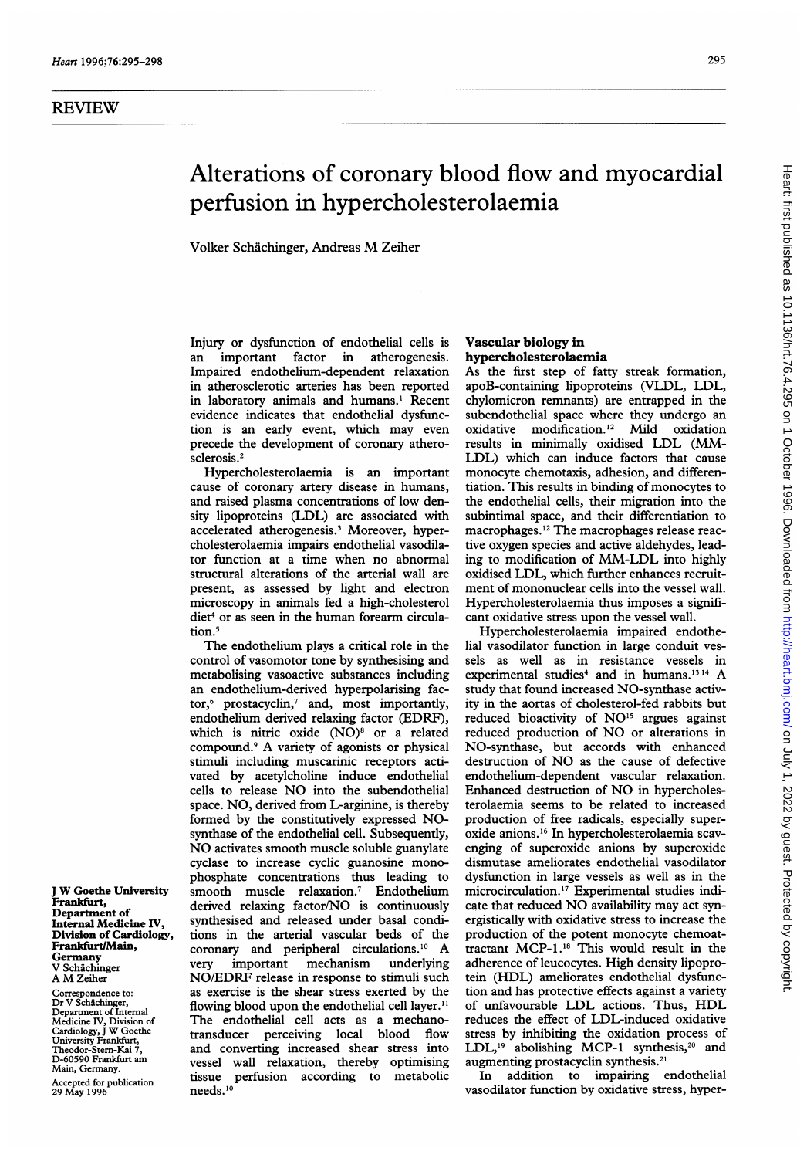# Alterations of coronary blood flow and myocardial perfusion in hypercholesterolaemia

Volker Schachinger, Andreas M Zeiher

Injury or dysfunction of endothelial cells is an important factor in atherogenesis. Impaired endothelium-dependent relaxation in atherosclerotic arteries has been reported in laboratory animals and humans.' Recent evidence indicates that endothelial dysfunction is an early event, which may even precede the development of coronary atherosclerosis.<sup>2</sup>

Hypercholesterolaemia is an important cause of coronary artery disease in humans, and raised plasma concentrations of low density lipoproteins (LDL) are associated with accelerated atherogenesis.3 Moreover, hypercholesterolaemia impairs endothelial vasodilator function at a time when no abnormal structural alterations of the arterial wall are present, as assessed by light and electron microscopy in animals fed a high-cholesterol diet<sup>4</sup> or as seen in the human forearm circulation.<sup>5</sup>

The endothelium plays a critical role in the control of vasomotor tone by synthesising and metabolising vasoactive substances including an endothelium-derived hyperpolarising factor,6 prostacyclin,7 and, most importantly, endothelium derived relaxing factor (EDRF), which is nitric oxide (NO)<sup>8</sup> or a related compound.9 A variety of agonists or physical stimuli including muscarinic receptors activated by acetylcholine induce endothelial cells to release NO into the subendothelial space. NO, derived from L-arginine, is thereby formed by the constitutively expressed NOsynthase of the endothelial cell. Subsequently, NO activates smooth muscle soluble guanylate cyclase to increase cyclic guanosine monophosphate concentrations thus leading to smooth muscle relaxation.7 Endothelium derived relaxing factor/NO is continuously synthesised and released under basal conditions in the arterial vascular beds of the coronary and peripheral circulations.'0 A very important mechanism NO/EDRF release in response to stimuli such as exercise is the shear stress exerted by the flowing blood upon the endothelial cell layer.<sup>11</sup> The endothelial cell acts as a mechanotransducer perceiving local blood flow and converting increased shear stress into vessel wall relaxation, thereby optimising tissue perfusion according to metabolic needs.<sup>10</sup>

## Vascular biology in hypercholesterolaemia

As the first step of fatty streak formation, apoB-containing lipoproteins (VLDL, LDL, chylomicron remnants) are entrapped in the subendothelial space where they undergo an oxidative modification. <sup>12</sup> Mild oxidation results in minimally oxidised LDL (MM-LDL) which can induce factors that cause monocyte chemotaxis, adhesion, and differentiation. This results in binding of monocytes to the endothelial cells, their migration into the subintimal space, and their differentiation to macrophages.'2 The macrophages release reactive oxygen species and active aldehydes, leading to modification of MM-LDL into highly oxidised LDL, which further enhances recruitment of mononuclear cells into the vessel wall. Hypercholesterolaemia thus imposes a significant oxidative stress upon the vessel wall.

Hypercholesterolaemia impaired endothelial vasodilator function in large conduit vessels as well as in resistance vessels in experimental studies<sup>4</sup> and in humans.<sup>1314</sup> A study that found increased NO-synthase activity in the aortas of cholesterol-fed rabbits but reduced bioactivity of NO<sup>15</sup> argues against reduced production of NO or alterations in NO-synthase, but accords with enhanced destruction of NO as the cause of defective endothelium-dependent vascular relaxation. Enhanced destruction of NO in hypercholesterolaemia seems to be related to increased production of free radicals, especially superoxide anions.'6 In hypercholesterolaemia scavenging of superoxide anions by superoxide dismutase ameliorates endothelial vasodilator dysfunction in large vessels as well as in the microcirculation."7 Experimental studies indicate that reduced NO availability may act synergistically with oxidative stress to increase the production of the potent monocyte chemoattractant MCP-1.18 This would result in the adherence of leucocytes. High density lipoprotein (HDL) ameliorates endothelial dysfunction and has protective effects against a variety of unfavourable LDL actions. Thus, HDL reduces the effect of LDL-induced oxidative stress by inhibiting the oxidation process of LDL,<sup>19</sup> abolishing MCP-1 synthesis,<sup>20</sup> and augmenting prostacyclin synthesis.2'

In addition to impairing endothelial vasodilator fumction by oxidative stress, hyper-

<sup>J</sup> W Goethe University Frankfirt, Department of Internal Medicine IV, Division of Cardiology, Frankfurt/Main, Germany V Schachinger A M Zeiher

Correspondence to: Dr V Schachinger, Department of Internal Medicine IV, Division of Cardiology, <sup>J</sup> W Goethe University Frankfurt, Theodor-Stern-Kai 7, D-60590 Frankfurt am Main, Germany.

Accepted for publication 29 May 1996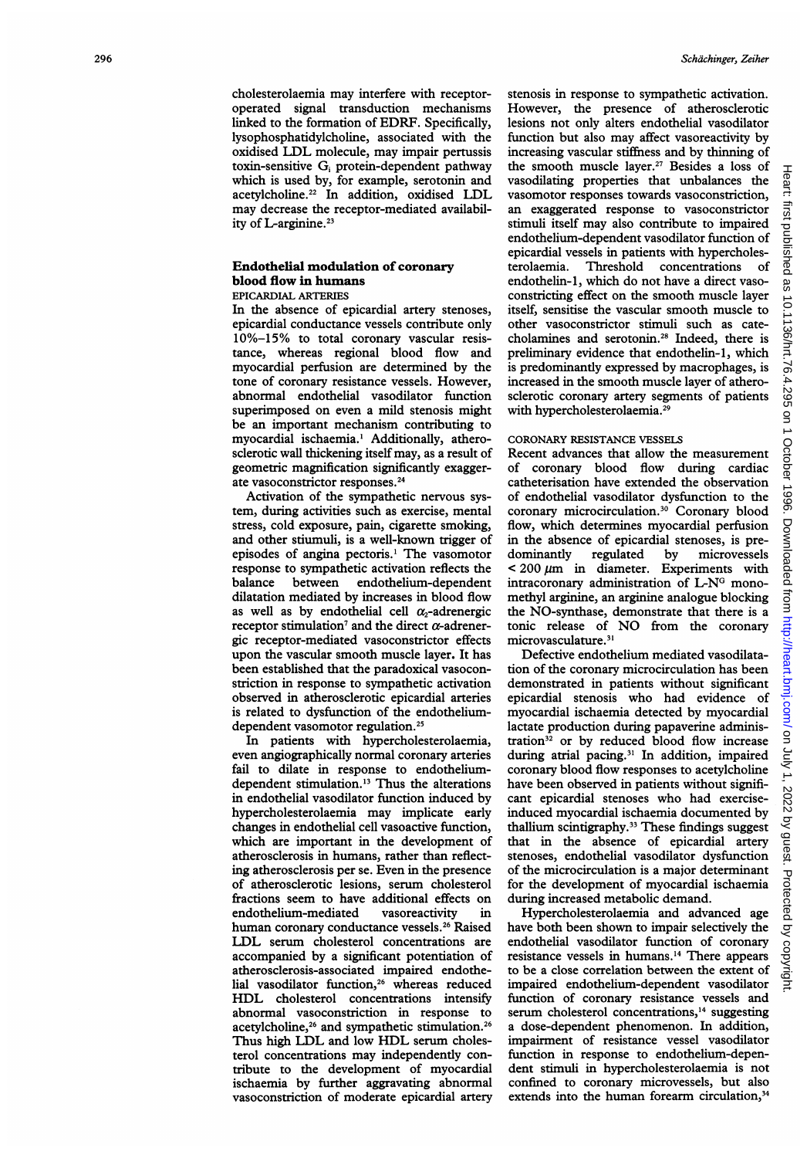## Endothelial modulation of coronary blood flow in humans

## EPICARDIAL ARTERIES

In the absence of epicardial artery stenoses, epicardial conductance vessels contribute only 10%-15% to total coronary vascular resistance, whereas regional blood flow and myocardial perfusion are determined by the tone of coronary resistance vessels. However, abnormal endothelial vasodilator function superimposed on even a mild stenosis might be an important mechanism contributing to myocardial ischaemia.' Additionally, atherosclerotic wall thickening itself may, as a result of geometric magnification significantly exaggerate vasoconstrictor responses.'4

Activation of the sympathetic nervous system, during activities such as exercise, mental stress, cold exposure, pain, cigarette smoking, and other stiumuli, is a well-known trigger of episodes of angina pectoris.' The vasomotor response to sympathetic activation reflects the balance between endothelium-dependent dilatation mediated by increases in blood flow as well as by endothelial cell  $\alpha_2$ -adrenergic receptor stimulation<sup>7</sup> and the direct  $\alpha$ -adrenergic receptor-mediated vasoconstrictor effects upon the vascular smooth muscle layer. It has been established that the paradoxical vasoconstriction in response to sympathetic activation observed in atherosclerotic epicardial arteries is related to dysfunction of the endotheliumdependent vasomotor regulation.<sup>25</sup>

In patients with hypercholesterolaemia, even angiographically normal coronary arteries fail to dilate in response to endotheliumdependent stimulation.'3 Thus the alterations in endothelial vasodilator function induced by hypercholesterolaemia may implicate early changes in endothelial cell vasoactive function, which are important in the development of atherosclerosis in humans, rather than reflecting atherosclerosis per se. Even in the presence of atherosclerotic lesions, serum cholesterol fractions seem to have additional effects on endothelium-mediated vasoreactivity in human coronary conductance vessels.<sup>26</sup> Raised LDL serum cholesterol concentrations are accompanied by a significant potentiation of atherosclerosis-associated impaired endothelial vasodilator function,<sup>26</sup> whereas reduced HDL cholesterol concentrations intensify abnormal vasoconstriction in response to acetylcholine,<sup>26</sup> and sympathetic stimulation.<sup>26</sup> Thus high LDL and low HDL serum cholesterol concentrations may independently contribute to the development of myocardial ischaemia by further aggravating abnormal vasoconstriction of moderate epicardial artery

stenosis in response to sympathetic activation. However, the presence of atherosclerotic lesions not only alters endothelial vasodilator function but also may affect vasoreactivity by increasing vascular stiffness and by thinning of the smooth muscle layer.'7 Besides a loss of vasodilating properties that unbalances the vasomotor responses towards vasoconstriction, an exaggerated response to vasoconstrictor stimuli itself may also contribute to impaired endothelium-dependent vasodilator function of epicardial vessels in patients with hypercholes-<br>terolaemia. Threshold concentrations of terolaemia. Threshold concentrations endothelin-l, which do not have a direct vasoconstricting effect on the smooth muscle layer itself, sensitise the vascular smooth muscle to other vasoconstrictor stimuli such as catecholamines and serotonin.'8 Indeed, there is preliminary evidence that endothelin-l, which is predominantly expressed by macrophages, is increased in the smooth muscle layer of atherosclerotic coronary artery segments of patients with hypercholesterolaemia.<sup>29</sup>

#### CORONARY RESISTANCE VESSELS

Recent advances that allow the measurement of coronary blood flow during cardiac catheterisation have extended the observation of endothelial vasodilator dysfunction to the coronary microcirculation.<sup>30</sup> Coronary blood flow, which determines myocardial perfusion in the absence of epicardial stenoses, is predominantly regulated by microvessels  $<$  200  $\mu$ m in diameter. Experiments with intracoronary administration of L-N<sup>G</sup> monomethyl arginine, an arginine analogue blocking the NO-synthase, demonstrate that there is a tonic release of NO from the coronary microvasculature.<sup>31</sup>

on July 1, 2022 by guest. Protected by copyright. <http://heart.bmj.com/> Heart: first published as 10.1136/hrt.76.4.295 on 1 October 1996. Downloaded from

**http:** 

/heart.bmj.com/

 $\overline{a}$ 

July 1,

2022 ड् anest.

Protected by

copyright

Downloaded from

leart: first

published

as

10.1136/hrt.76.4.295 on 1

October

1996.

Defective endothelium mediated vasodilatation of the coronary microcirculation has been demonstrated in patients without significant epicardial stenosis who had evidence of myocardial ischaemia detected by myocardial lactate production during papaverine administration<sup>32</sup> or by reduced blood flow increase during atrial pacing.<sup>31</sup> In addition, impaired coronary blood flow responses to acetylcholine have been observed in patients without significant epicardial stenoses who had exerciseinduced myocardial ischaemia documented by thallium scintigraphy.<sup>33</sup> These findings suggest that in the absence of epicardial artery stenoses, endothelial vasodilator dysfunction of the microcirculation is a major determinant for the development of myocardial ischaemia during increased metabolic demand.

Hypercholesterolaemia and advanced age have both been shown to impair selectively the endothelial vasodilator function of coronary resistance vessels in humans.'4 There appears to be a close correlation between the extent of impaired endothelium-dependent vasodilator function of coronary resistance vessels and serum cholesterol concentrations,<sup>14</sup> suggesting a dose-dependent phenomenon. In addition, impairment of resistance vessel vasodilator function in response to endothelium-dependent stimuli in hypercholesterolaemia is not confined to coronary microvessels, but also extends into the human forearm circulation,<sup>34</sup>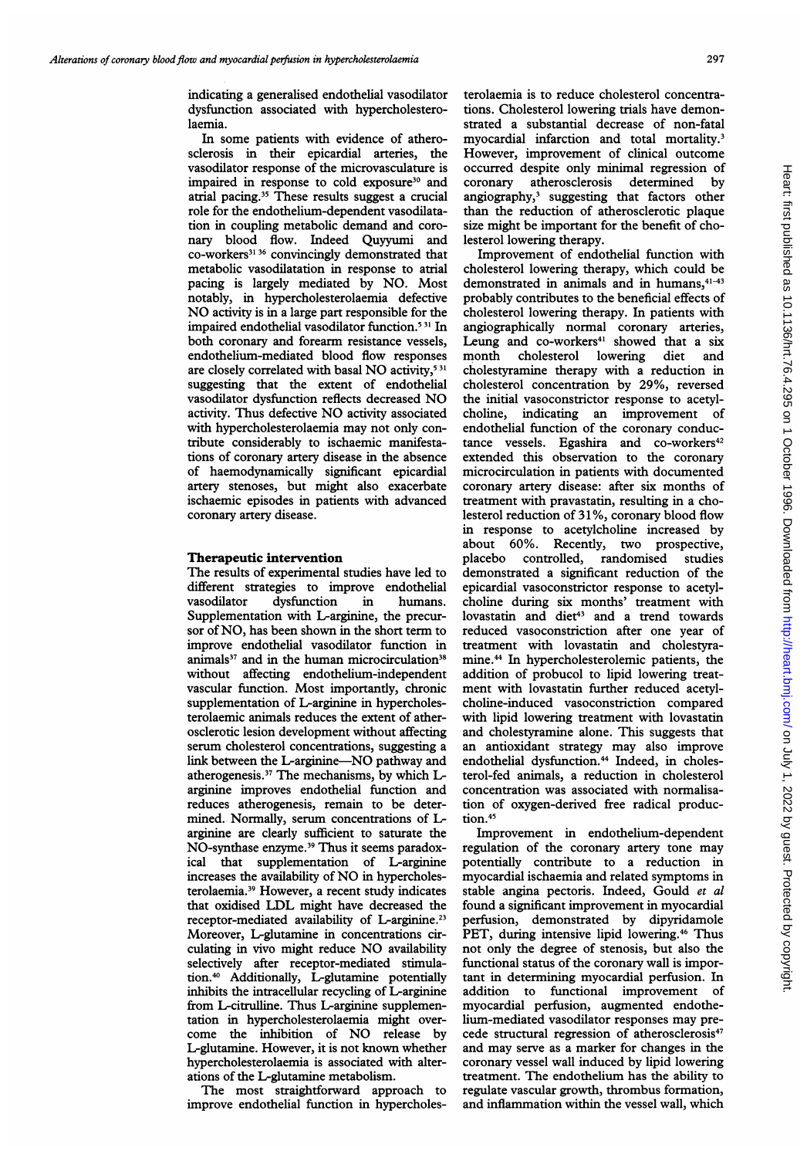indicating a generalised endothelial vasodilator dysfunction associated with hypercholesterolaemia.

In some patients with evidence of atherosclerosis in their epicardial arteries, the vasodilator response of the microvasculature is impaired in response to cold exposure<sup>30</sup> and atrial pacing.35 These results suggest a crucial role for the endothelium-dependent vasodilatation in coupling metabolic demand and coronary blood flow. Indeed Quyyumi and co-workers<sup>31 36</sup> convincingly demonstrated that metabolic vasodilatation in response to atrial pacing is largely mediated by NO. Most notably, in hypercholesterolaemia defective NO activity is in <sup>a</sup> large part responsible for the impaired endothelial vasodilator function.5 <sup>31</sup> In both coronary and forearm resistance vessels, endothelium-mediated blood flow responses are closely correlated with basal NO activity,<sup>531</sup> suggesting that the extent of endothelial vasodilator dysfunction reflects decreased NO activity. Thus defective NO activity associated with hypercholesterolaemia may not only contribute considerably to ischaemic manifestations of coronary artery disease in the absence of haemodynamically significant epicardial artery stenoses, but might also exacerbate ischaemic episodes in patients with advanced coronary artery disease.

#### Therapeutic intervention

The results of experimental studies have led to different strategies to improve endothelial vasodilator dysfunction in humans. Supplementation with L-arginine, the precursor of NO, has been shown in the short term to improve endothelial vasodilator function in animals<sup>37</sup> and in the human microcirculation<sup>38</sup> without affecting endothelium-independent vascular function. Most importantly, chronic supplementation of L-arginine in hypercholesterolaemic animals reduces the extent of atherosclerotic lesion development without affecting serum cholesterol concentrations, suggesting a link between the L-arginine-NO pathway and atherogenesis.<sup>37</sup> The mechanisms, by which Larginine improves endothelial function and reduces atherogenesis, remain to be determined. Normally, serum concentrations of Larginine are clearly sufficient to saturate the NO-synthase enzyme.<sup>39</sup> Thus it seems paradoxical that supplementation of L-arginine increases the availability of NO in hypercholesterolaemia.39 However, a recent study indicates that oxidised LDL might have decreased the receptor-mediated availability of L-arginine.<sup>23</sup> Moreover, L-glutamine in concentrations circulating in vivo might reduce NO availability selectively after receptor-mediated stimulation.40 Additionally, L-glutamine potentially inhibits the intracellular recycling of L-arginine from L-citrulline. Thus L-arginine supplementation in hypercholesterolaemia might overcome the inhibition of NO release by L-glutamine. However, it is not known whether hypercholesterolaemia is associated with alterations of the L-glutamine metabolism.

The most straightforward approach to improve endothelial function in hypercholesterolaemia is to reduce cholesterol concentrations. Cholesterol lowering trials have demonstrated a substantial decrease of non-fatal myocardial infarction and total mortality.' However, improvement of clinical outcome occurred despite only minimal regression of<br>coronary atherosclerosis determined by coronary atherosclerosis determined angiography,' suggesting that factors other than the reduction of atherosclerotic plaque size might be important for the benefit of cholesterol lowering therapy.

Improvement of endothelial function with cholesterol lowering therapy, which could be demonstrated in animals and in humans, $41-43$ probably contributes to the beneficial effects of cholesterol lowering therapy. In patients with angiographically normal coronary arteries, Leung and co-workers<sup>41</sup> showed that a six month cholesterol lowering diet and cholestyramine therapy with a reduction in cholesterol concentration by 29%, reversed the initial vasoconstrictor response to acetylcholine, indicating an improvement of endothelial function of the coronary conductance vessels. Egashira and co-workers<sup>42</sup> extended this observation to the coronary microcirculation in patients with documented coronary artery disease: after six months of treatment with pravastatin, resulting in a cholesterol reduction of 31%, coronary blood flow in response to acetylcholine increased by about 60%. Recently, two prospective,<br>placebo controlled, randomised studies controlled, randomised studies demonstrated a significant reduction of the epicardial vasoconstrictor response to acetylcholine during six months' treatment with lovastatin and diet<sup>43</sup> and a trend towards reduced vasoconstriction after one year of treatment with lovastatin and cholestyramine.44 In hypercholesterolemic patients, the addition of probucol to lipid lowering treatment with lovastatin further reduced acetylcholine-induced vasoconstriction compared with lipid lowering treatment with lovastatin and cholestyramine alone. This suggests that an antioxidant strategy may also improve endothelial dysfunction.<sup>44</sup> Indeed, in cholesterol-fed animals, a reduction in cholesterol concentration was associated with normalisation of oxygen-derived free radical production.<sup>45</sup>

Improvement in endothelium-dependent regulation of the coronary artery tone may potentially contribute to a reduction in myocardial ischaemia and related symptoms in stable angina pectoris. Indeed, Gould et al found a significant improvement in myocardial perfusion, demonstrated by dipyridamole PET, during intensive lipid lowering.<sup>46</sup> Thus not only the degree of stenosis, but also the functional status of the coronary wall is important in determining myocardial perfusion. In addition to functional improvement of myocardial perfusion, augmented endothelium-mediated vasodilator responses may precede structural regression of atherosclerosis<sup>47</sup> and may serve as a marker for changes in the coronary vessel wall induced by lipid lowering treatment. The endothelium has the ability to regulate vascular growth, thrombus formation, and inflammation within the vessel wall, which